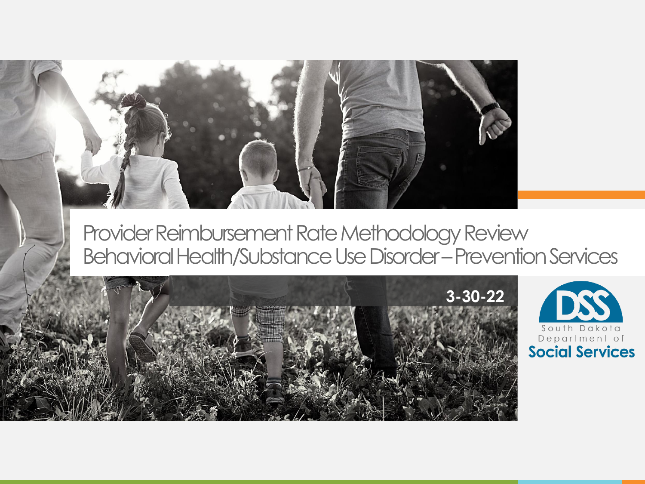

Provider Reimbursement Rate Methodology Review Behavioral Health/Substance Use Disorder –Prevention Services



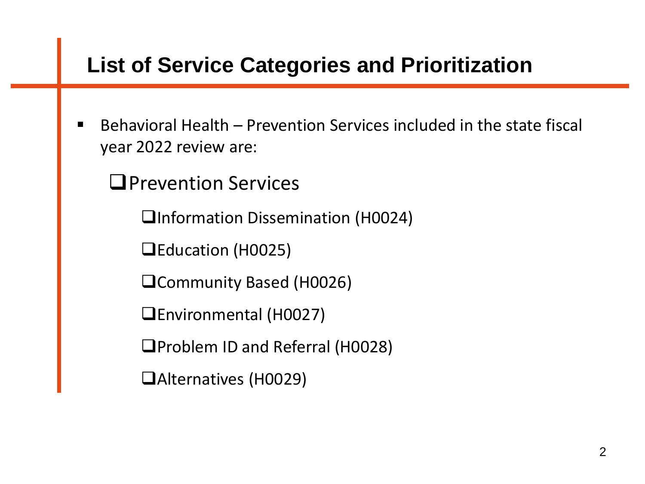### **List of Service Categories and Prioritization**

Behavioral Health – Prevention Services included in the state fiscal year 2022 review are:

❑Prevention Services

❑Information Dissemination (H0024)

❑Education (H0025)

❑Community Based (H0026)

❑Environmental (H0027)

❑Problem ID and Referral (H0028)

❑Alternatives (H0029)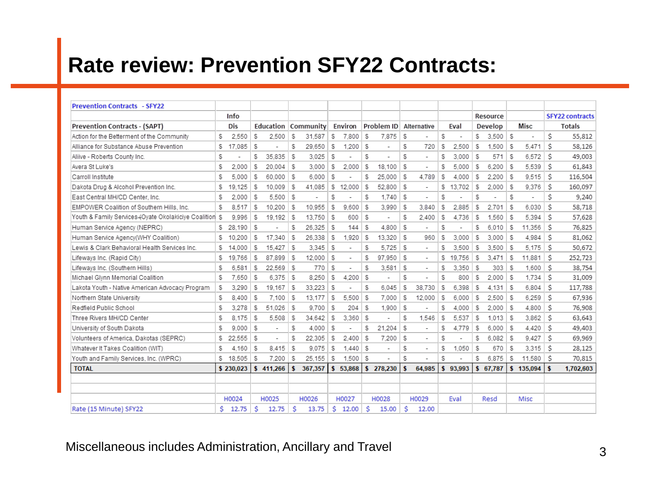# **Rate review: Prevention SFY22 Contracts:**

| <b>Prevention Contracts - SFY22</b>                     |    |           |          |                          |    |           |    |              |          |                          |     |                          |     |                          |    |              |    |                          |    |                        |
|---------------------------------------------------------|----|-----------|----------|--------------------------|----|-----------|----|--------------|----------|--------------------------|-----|--------------------------|-----|--------------------------|----|--------------|----|--------------------------|----|------------------------|
|                                                         |    | Info      |          |                          |    |           |    |              |          |                          |     |                          |     |                          |    | Resource     |    |                          |    | <b>SFY22 contracts</b> |
| Prevention Contracts - (SAPT)                           |    | Dis       |          | Education                |    | Community |    | Environ      |          | Problem ID               |     | Alternative              |     | Eval                     |    | Develop      |    | Misc                     |    | <b>Totals</b>          |
| Action for the Betterment of the Community              | S  | 2,550     | \$       | 2.500                    | S  | 31.587    | S. | 7.800        | - 5      | 7.875                    | S   |                          | S   | $\overline{\phantom{a}}$ | \$ | $3.500$ \$   |    | $\overline{\phantom{a}}$ | \$ | 55.812                 |
| Alliance for Substance Abuse Prevention                 | \$ | 17.085    | -5       |                          | S  | 29.650    | S  | 1.200        | S        | ٠                        | S   | 720                      | S   | 2.500                    | S  | 1.500        | S  | 5.471                    | Ś  | 58,126                 |
| Aliive - Roberts County Inc.                            | S  |           | S        | 35.835                   | S  | 3.025     | S  | ä,           | S        |                          | S   | ÷.                       | S   | 3.000                    | S  | 571          | S  | 6.572                    | Ś  | 49,003                 |
| Avera St Luke's                                         | S  | 2.000     | S        | 20.004                   | S  | 3.000     | S  | 2.000        | - 5      | 18.100                   | S   |                          | S   | 5.000                    | S  | 6.200        | S  | 5.539                    | Ś  | 61,843                 |
| Carroll Institute                                       | s  | 5.000     | S        | 60.000                   | S  | 6.000     | S  |              | s        | 25.000                   | S   | 4.789                    | S   | 4.000                    | S  | 2.200        | S  | 9.515                    | Ś  | 116,504                |
| Dakota Drug & Alcohol Prevention Inc.                   | s  | 19.125    | -5       | 10.009                   | S  | 41.085    | S  | 12.000       | l S      | 52.800                   | S   |                          | S   | 13.702                   | S  | 2.000        | S  | 9.376                    | S  | 160,097                |
| East Central MH/CD Center, Inc.                         | s  | 2.000     | -S       | 5.500                    | S  | ٠         | S  | ٠            | S        | 1.740                    | S   | $\overline{\phantom{a}}$ | s   |                          | s  |              | S  |                          | Ś  | 9,240                  |
| EMPOWER Coalition of Southern Hills, Inc.               | s  | 8.517     | -S       | 10.200                   | S  | 10.955    | s  | 9.600        | - \$     | 3.990                    | S   | 3.840                    | s   | 2.885                    | s  | 2.701        | S  | 6.030                    | Ś  | 58,718                 |
| Youth & Family Services (Oyate Okolakiciye Coalition \$ |    | 9.996     | S        | 19.192                   | S  | 13.750    | S  | 600          | - 5      | ٠                        | S   | 2.400                    | s   | 4.736                    | S  | 1.560        | S  | 5.394                    | Ś  | 57,628                 |
| Human Service Agency (NEPRC)                            | S  | 28.190    | -5       |                          | S  | 26.325    | -S | 144          | -S       | 4.800                    | S   |                          | S   |                          | s  | 6.010        | S  | 11.356                   | Ś  | 76,825                 |
| Human Service Agency(WHY Coalition)                     | S  | 10.200    | -5       | 17.340                   | S  | 26.338    | S  | 1.920        | S        | 13.320                   | S   | 960                      | \$  | 3.000                    | S  | 3.000        | -5 | 4.984                    | Ś  | 81,062                 |
| Lewis & Clark Behavioral Health Services Inc.           | \$ | 14.000    | -5       | 15.427                   | S  | 3.345     | S  | ٠            | S        | 5.725                    | S   | ٠                        | S   | 3.500                    | -5 | $3.500$   \$ |    | 5.175                    | .Ŝ | 50,672                 |
| Lifeways Inc. (Rapid City)                              | S  | 19,766    | -5       | 87.899                   | S  | 12.000    | \$ | ٠            | S        | 97.950                   | S   | ٠                        | \$  | 19.756                   | -5 | 3.471        | S  | 11.881                   | S  | 252,723                |
| Lifeways Inc. (Southern Hills)                          | S  | 6.581     | -5       | 22.569                   | S  | 770       | S  | ٠            | S        | 3.581                    | S   | $\overline{\phantom{a}}$ | S   | 3.350                    | S  | 303          | S  | 1.600                    | Ś  | 38,754                 |
| Michael Glynn Memorial Coalition                        | S  | 7.650     | -5       | 6.375                    | S  | 8.250     | S  | 4.200        | l S      | $\overline{\phantom{a}}$ | s   | $\overline{\phantom{a}}$ | S   | 800                      | S  | $2.000$ \ \$ |    | 1,734                    | Ś  | 31,009                 |
| Lakota Youth - Native American Advocacy Program         | S  | 3,290     | -5       | 19.167                   | S  | 33,223    | S  | ٠            | s        | 6.045                    | S   | 38.730                   | S   | 6.398                    | S  | 4.131        | S  | 6,804                    | Ś  | 117,788                |
| Northern State University                               | S  | 8.400     | -5       | 7.100                    | S  | 13.177    | S  | 5.500        | S        | 7.000                    | S   | 12.000                   | S   | 6.000                    | S  | 2.500        | S  | 6.259                    | Ś  | 67,936                 |
| Redfield Public School                                  | S  | 3.278     | -5       | 51.026                   | S  | 9.700     | S  | 204          | S        | 1,900                    | S   |                          | S   | 4.000                    | S  | 2.000        | S  | 4,800                    | Ŝ  | 76,908                 |
| Three Rivers MH/CD Center                               | \$ | 8.175     | -5       | 5,508                    | s  | 34.642    | S  | 3.360        | <b>S</b> |                          | S   | 1.546                    | \$  | 5.537                    | \$ | 1.013        | -5 | 3.862                    | S  | 63,643                 |
| University of South Dakota                              | S  | 9.000     | <b>S</b> | $\overline{\phantom{a}}$ | S  | 4.000     | S  | ٠            | S        | 21.204                   | S   | $\sim$                   | \$  | 4.779                    | -5 | $6.000$   \$ |    | 4.420                    | Ŝ  | 49,403                 |
| Volunteers of America, Dakotas (SEPRC)                  | S  | 22.555    | -5       |                          | S  | 22.305    | S  | 2.400        | - \$     | 7.200                    | S   | $\tilde{\phantom{a}}$    | S   | $\overline{\phantom{a}}$ | S  | 6.082        | S  | 9.427                    | Ś  | 69,969                 |
| Whatever It Takes Coalition (WIT)                       | S  | 4.160     | 5        | 8.415                    | S  | 9.075     | S  | $1.440$ \ \$ |          | ä,                       | S   | ٠                        | \$  | 1.050                    | S  | 670          | S  | 3.315                    | Ś  | 28,125                 |
| Youth and Family Services, Inc. (WPRC)                  | S  | 18.505    | S.       | 7.200                    | S  | 25.155    | S  | 1.500        | S        |                          | S   |                          | S   |                          | S  | 6.875        | S  | 11,580                   | Ŝ  | 70,815                 |
| <b>TOTAL</b>                                            |    | \$230,023 | \$       | 411.266                  | \$ | 367,357   | \$ | 53.868       | \$       | 278,230                  | \$. | 64.985                   | \$. | 93.993                   | \$ | 67.787       | \$ | 135,094                  | s  | 1,702,603              |
|                                                         |    |           |          |                          |    |           |    |              |          |                          |     |                          |     |                          |    |              |    |                          |    |                        |
|                                                         |    |           |          |                          |    |           |    |              |          |                          |     |                          |     |                          |    |              |    |                          |    |                        |
|                                                         |    | H0024     |          | H0025                    |    | H0026     |    | H0027        |          | H0028                    |     | H0029                    |     | Eval                     |    | Resd         |    | Misc                     |    |                        |
| Rate (15 Minute) SFY22                                  | s. | 12.75     | Ś        | 12.75                    | Ś  | 13.75     | \$ | 12.00        | Ś        | 15.00                    | Ś   | 12.00                    |     |                          |    |              |    |                          |    |                        |

#### Miscellaneous includes Administration, Ancillary and Travel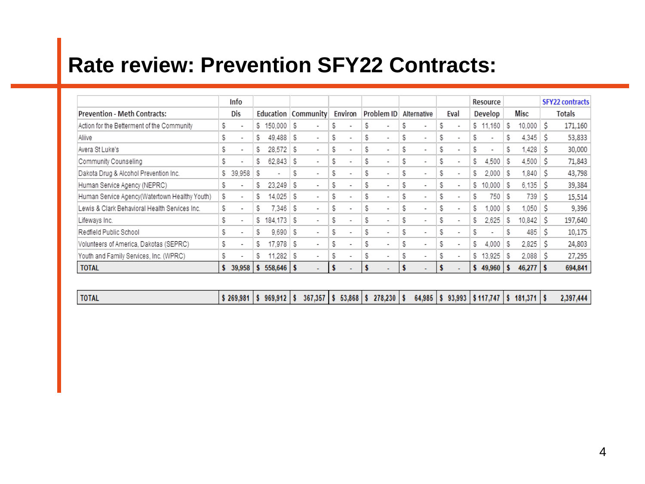# **Rate review: Prevention SFY22 Contracts:**

|                                               |    | Info                     |    |                   |     |                          |    |         |   |                          |   |                          |   |                          |    | Resource |    |                     |    | <b>SFY22 contracts</b> |
|-----------------------------------------------|----|--------------------------|----|-------------------|-----|--------------------------|----|---------|---|--------------------------|---|--------------------------|---|--------------------------|----|----------|----|---------------------|----|------------------------|
| <b>Prevention - Meth Contracts:</b>           |    | Dis                      |    | Education         |     | <b>Community</b>         |    | Environ |   | Problem ID               |   | Alternative              |   | Eval                     |    | Develop  |    | Misc                |    | Totals                 |
| Action for the Betterment of the Community    | \$ | $\blacksquare$           | s. | $150.000$   \$    |     |                          | S  |         | ъ | ٠                        | S | ۰                        | S | $\blacksquare$           |    | \$11,160 | S  | $10,000$ $\sqrt{5}$ |    | 171,160                |
| Aliive                                        | S  | $\blacksquare$           | s  | $49.488$ \ \$     |     | ۰                        | S  |         | S | ٠                        | S | ٠                        | s | $\overline{\phantom{a}}$ | S  | ٠        | S  | 4.345               | s  | 53,833                 |
| Avera St Luke's                               | \$ | $\blacksquare$           | S  | $28,572$ \$       |     | $\overline{\phantom{a}}$ | \$ |         | S | ٠                        | S | ۰                        | S | $\overline{\phantom{a}}$ | S  | ٠        | S  | .428                | s  | 30,000                 |
| Community Counseling                          | S  | $\overline{\phantom{a}}$ | S  | 62.843            | - 5 | $\blacksquare$           | \$ |         | S | $\overline{\phantom{a}}$ | S | $\overline{\phantom{a}}$ | S | $\blacksquare$           | S  | 4,500    | S  | $4,500$ \$          |    | 71,843                 |
| Dakota Drug & Alcohol Prevention Inc.         | S  | 39.958                   | s  | ۰                 | S   | $\overline{\phantom{a}}$ | S  |         | S | ۰                        | S | ٠                        | s | $\overline{\phantom{a}}$ | S  | 2.000    | s  | $1.840 \,$ S        |    | 43,798                 |
| Human Service Agency (NEPRC)                  | S  | $\sim$                   | S  | 23.249            | - 5 | ۰                        | S  |         | S | $\overline{\phantom{a}}$ | S | ۰                        | s | $\overline{\phantom{a}}$ | S  | 10.000   | -5 | $6,135$ $\sqrt{5}$  |    | 39,384                 |
| Human Service Agency(Watertown Healthy Youth) | S  | ٠                        | S  | 14.025            | S   | $\overline{\phantom{a}}$ | S  |         | S | $\overline{\phantom{a}}$ | S | ٠                        | S | $\overline{\phantom{a}}$ | S  | 750      | S  | 739                 | S  | 15,514                 |
| Lewis & Clark Behavioral Health Services Inc. | \$ | $\overline{\phantom{a}}$ | S  | 7.346   \$        |     | $\overline{\phantom{a}}$ | S  |         | S | ٠                        | S | ۰                        | s | $\overline{\phantom{a}}$ | S  | .000     | S  | 1,050               |    | 9,396                  |
| Lifeways Inc.                                 | \$ | $\blacksquare$           | s. | 184.173           | - 5 | $\blacksquare$           | \$ |         | S | ۰                        | S | $\overline{\phantom{a}}$ | S | $\blacksquare$           | \$ | 2.625    | S  | $10.842$ $\pm$      |    | 197,640                |
| Redfield Public School                        | S  | $\overline{\phantom{a}}$ | S  | $9.690$ \$        |     | ۰                        | S  |         | S | ٠                        | S | ٠                        | S | $\overline{\phantom{a}}$ | S  | ٠        | S  | 485                 |    | 10,175                 |
| Volunteers of America, Dakotas (SEPRC)        | S  | $\sim$                   | S  | 17.978            | - 5 | ٠                        | S  |         | S | $\overline{\phantom{a}}$ | S | ۰                        | s | $\overline{\phantom{a}}$ | S  | 4.000    | S  | 2,825               | -S | 24,803                 |
| Youth and Family Services, Inc. (WPRC)        | \$ | $\blacksquare$           | S  | $.282 \t S$<br>11 |     | $\overline{\phantom{a}}$ | S  |         | S | ۰                        | S | $\blacksquare$           | S | $\blacksquare$           |    | \$13,925 | S  | 2.088               |    | 27,295                 |
| <b>TOTAL</b>                                  |    | 39,958                   | s  | $558,646$   \$    |     |                          | м  |         |   | $\overline{\phantom{0}}$ |   |                          |   | ٠                        |    | 49,960   |    | 46,277              |    | 694,841                |

| <b>TOTAL</b> |  |  | '\$269,981  \$969,912  \$367,357  \$53,868  \$278,230  \$64,985  \$93,993  \$117,747  \$181,371  \$ |  |  |  |  |  |  | 2,397,444 |
|--------------|--|--|-----------------------------------------------------------------------------------------------------|--|--|--|--|--|--|-----------|
|--------------|--|--|-----------------------------------------------------------------------------------------------------|--|--|--|--|--|--|-----------|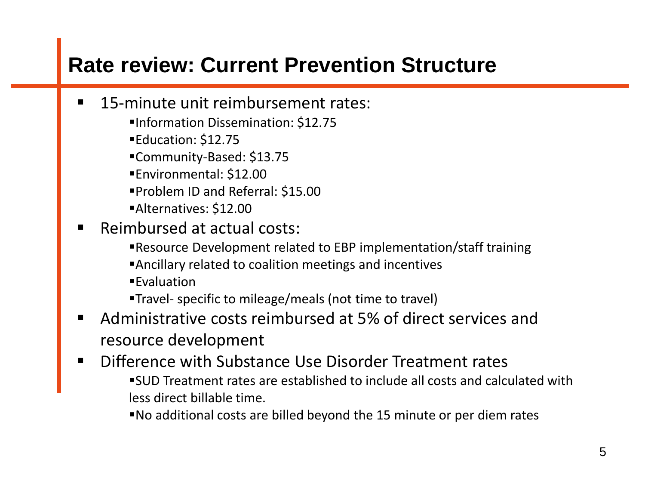## **Rate review: Current Prevention Structure**

- 15-minute unit reimbursement rates:
	- ▪Information Dissemination: \$12.75
	- ■Education: \$12.75
	- ▪Community-Based: \$13.75
	- ▪Environmental: \$12.00
	- ▪Problem ID and Referral: \$15.00
	- ▪Alternatives: \$12.00
- Reimbursed at actual costs:
	- ▪Resource Development related to EBP implementation/staff training
	- ▪Ancillary related to coalition meetings and incentives
	- ■Evaluation
	- ▪Travel- specific to mileage/meals (not time to travel)
- Administrative costs reimbursed at 5% of direct services and resource development
- Difference with Substance Use Disorder Treatment rates ▪SUD Treatment rates are established to include all costs and calculated with less direct billable time.
	- ▪No additional costs are billed beyond the 15 minute or per diem rates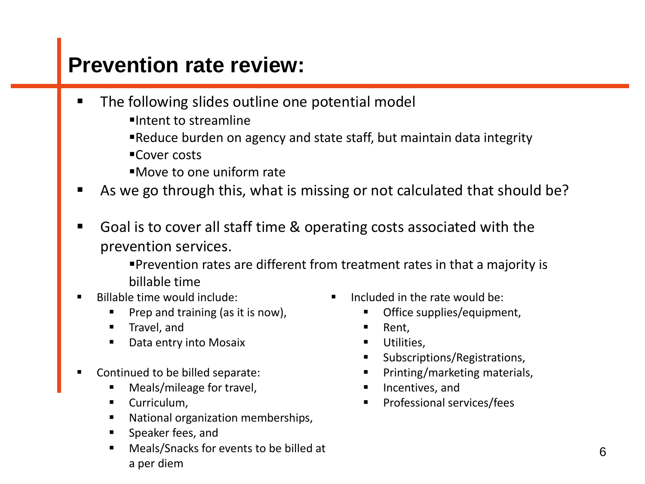- The following slides outline one potential model
	- ▪Intent to streamline
	- **Example 2** Preduce burden on agency and state staff, but maintain data integrity
	- ■Cover costs
	- ▪Move to one uniform rate
- As we go through this, what is missing or not calculated that should be?
- Goal is to cover all staff time & operating costs associated with the prevention services.

▪Prevention rates are different from treatment rates in that a majority is billable time

- Billable time would include:
	- Prep and training (as it is now),
	- Travel, and
	- Data entry into Mosaix
- Continued to be billed separate:
	- Meals/mileage for travel,
	- Curriculum,
	- National organization memberships,
	- Speaker fees, and
	- Meals/Snacks for events to be billed at a per diem
- Included in the rate would be:
	- Office supplies/equipment,
	- Rent,
	- Utilities,
	- Subscriptions/Registrations,
	- Printing/marketing materials,
	- Incentives, and
	- Professional services/fees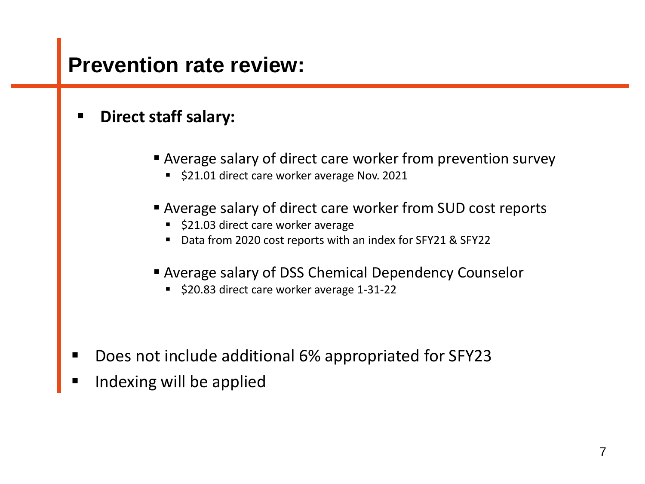#### **Direct staff salary:**

- Average salary of direct care worker from prevention survey
	- \$21.01 direct care worker average Nov. 2021
- Average salary of direct care worker from SUD cost reports
	- \$21.03 direct care worker average
	- Data from 2020 cost reports with an index for SFY21 & SFY22
- Average salary of DSS Chemical Dependency Counselor
	- \$20.83 direct care worker average 1-31-22

- Does not include additional 6% appropriated for SFY23
- Indexing will be applied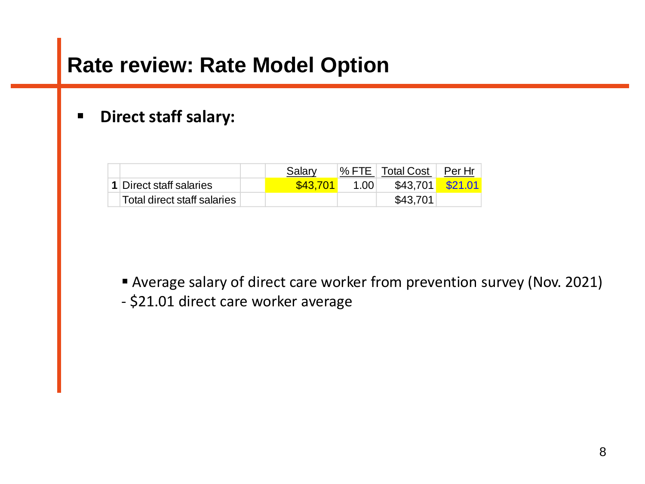#### ▪ **Direct staff salary:**

|                                | Salary   |      | <sup>1</sup> % FTE   Total Cost | Per Hr    |
|--------------------------------|----------|------|---------------------------------|-----------|
| <b>1</b> Direct staff salaries | \$43,701 | 1.00 | \$43.701                        | $\$21.01$ |
| Total direct staff salaries    |          |      | \$43.701                        |           |

■ Average salary of direct care worker from prevention survey (Nov. 2021)

- \$21.01 direct care worker average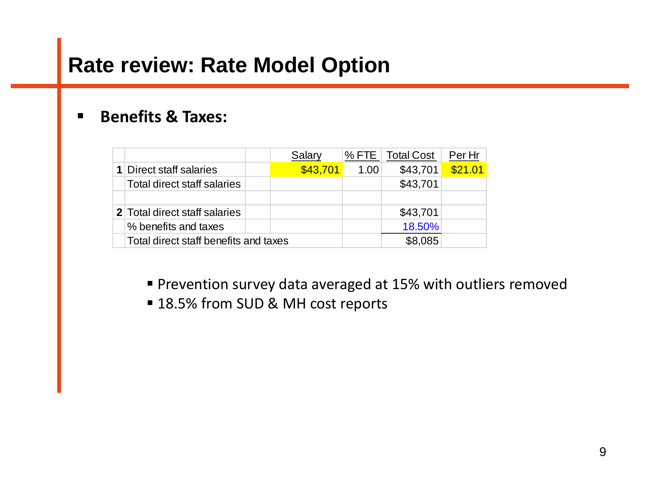#### ▪ **Benefits & Taxes:**

|                                       | Salary   | $%$ FTE | <b>Total Cost</b> | Per Hr  |
|---------------------------------------|----------|---------|-------------------|---------|
| <b>1</b> Direct staff salaries        | \$43,701 | 1.00    | \$43,701          | \$21.01 |
| Total direct staff salaries           |          |         | \$43,701          |         |
|                                       |          |         |                   |         |
| 2 Total direct staff salaries         |          |         | \$43,701          |         |
| % benefits and taxes                  |          |         | 18.50%            |         |
| Total direct staff benefits and taxes |          |         | \$8.085           |         |

- **Prevention survey data averaged at 15% with outliers removed**
- 18.5% from SUD & MH cost reports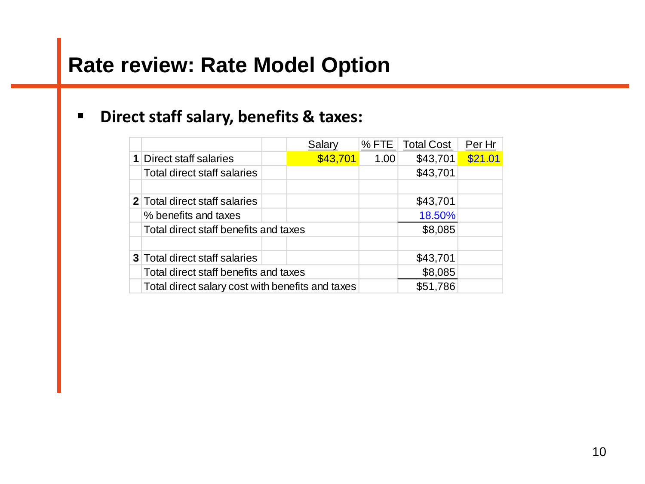#### ▪ **Direct staff salary, benefits & taxes:**

|                                                  | Salary   |      | % FTE   Total Cost | Per Hr  |
|--------------------------------------------------|----------|------|--------------------|---------|
| <b>1</b> Direct staff salaries                   | \$43,701 | 1.00 | \$43,701           | \$21.01 |
| Total direct staff salaries                      |          |      | \$43,701           |         |
|                                                  |          |      |                    |         |
| <b>2</b> Total direct staff salaries             |          |      | \$43,701           |         |
| % benefits and taxes                             |          |      | 18.50%             |         |
| Total direct staff benefits and taxes            |          |      | \$8,085            |         |
|                                                  |          |      |                    |         |
| <b>3</b> Total direct staff salaries             |          |      | \$43,701           |         |
| Total direct staff benefits and taxes            |          |      | \$8,085            |         |
| Total direct salary cost with benefits and taxes |          |      | \$51,786           |         |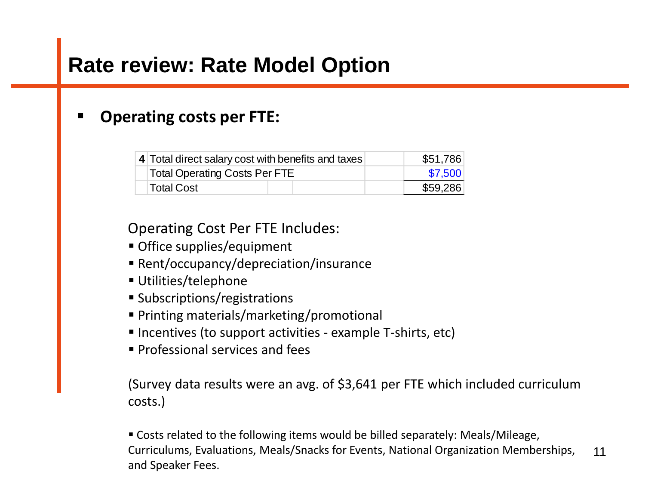#### **Operating costs per FTE:**

| 4 Total direct salary cost with benefits and taxes | \$51,786 |
|----------------------------------------------------|----------|
| <b>Total Operating Costs Per FTE</b>               | \$7,500  |
| <b>Total Cost</b>                                  | \$59,286 |

Operating Cost Per FTE Includes:

- Office supplies/equipment
- Rent/occupancy/depreciation/insurance
- Utilities/telephone
- Subscriptions/registrations
- Printing materials/marketing/promotional
- Incentives (to support activities example T-shirts, etc)
- Professional services and fees

(Survey data results were an avg. of \$3,641 per FTE which included curriculum costs.)

11 ■ Costs related to the following items would be billed separately: Meals/Mileage, Curriculums, Evaluations, Meals/Snacks for Events, National Organization Memberships, and Speaker Fees.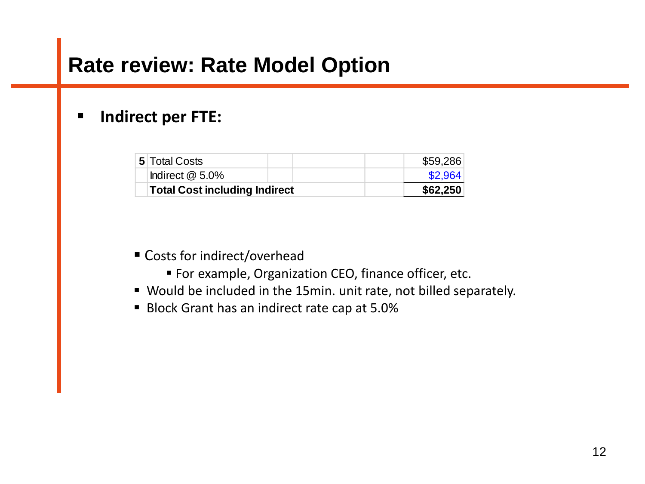#### ▪ **Indirect per FTE:**

| Total Cost including Indirect |  | \$62,250 |
|-------------------------------|--|----------|
| Indirect $@$ 5.0%             |  | \$2,964  |
| <b>5</b> Total Costs          |  | \$59,286 |

- Costs for indirect/overhead
	- **For example, Organization CEO, finance officer, etc.**
- Would be included in the 15min. unit rate, not billed separately.
- Block Grant has an indirect rate cap at 5.0%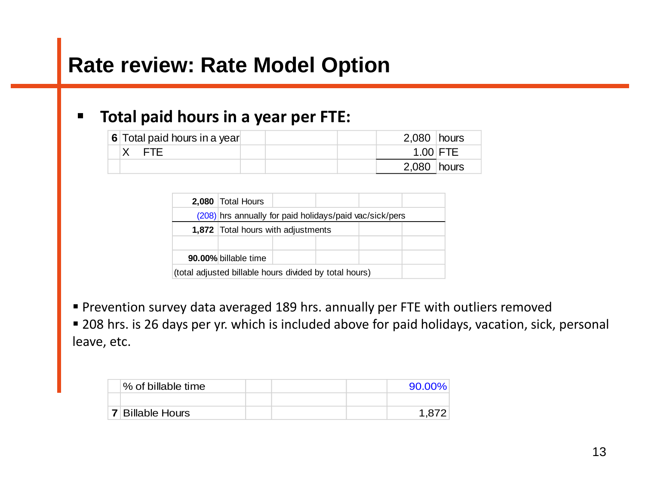#### ▪ **Total paid hours in a year per FTE:**

| 6 Total paid hours in a year |  | $2,080$ hours |  |
|------------------------------|--|---------------|--|
| X FTE                        |  | $1.00$ FTE    |  |
|                              |  | $2,080$ hours |  |

|                                                        | 2.080 Total Hours |                                                         |  |  |  |  |  |  |  |  |  |
|--------------------------------------------------------|-------------------|---------------------------------------------------------|--|--|--|--|--|--|--|--|--|
|                                                        |                   | (208) hrs annually for paid holidays/paid vac/sick/pers |  |  |  |  |  |  |  |  |  |
|                                                        |                   | <b>1,872</b> Total hours with adjustments               |  |  |  |  |  |  |  |  |  |
|                                                        |                   |                                                         |  |  |  |  |  |  |  |  |  |
| 90.00% billable time                                   |                   |                                                         |  |  |  |  |  |  |  |  |  |
| (total adjusted billable hours divided by total hours) |                   |                                                         |  |  |  |  |  |  |  |  |  |

■ Prevention survey data averaged 189 hrs. annually per FTE with outliers removed

■ 208 hrs. is 26 days per yr. which is included above for paid holidays, vacation, sick, personal leave, etc.

| % of billable time      |  | 90.00% |
|-------------------------|--|--------|
|                         |  |        |
| <b>7 Billable Hours</b> |  | 1.872  |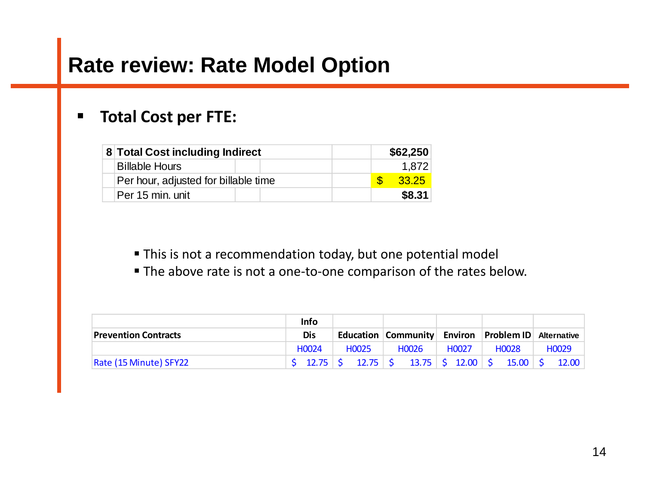#### ▪ **Total Cost per FTE:**

|                                      | 8 Total Cost including Indirect |  |  |  | \$62,250 |
|--------------------------------------|---------------------------------|--|--|--|----------|
| <b>Billable Hours</b>                |                                 |  |  |  | 1.872    |
| Per hour, adjusted for billable time |                                 |  |  |  | 33.25    |
| Per 15 min. unit                     |                                 |  |  |  | \$8.31   |

**This is not a recommendation today, but one potential model** 

**The above rate is not a one-to-one comparison of the rates below.** 

|                             |     | <b>Info</b>        |  |                    |                                                    |                                                                                               |  |       |  |                     |  |                    |  |
|-----------------------------|-----|--------------------|--|--------------------|----------------------------------------------------|-----------------------------------------------------------------------------------------------|--|-------|--|---------------------|--|--------------------|--|
| <b>Prevention Contracts</b> | Dis |                    |  |                    | Education Community Environ Problem ID Alternative |                                                                                               |  |       |  |                     |  |                    |  |
|                             |     | H <sub>0</sub> 024 |  | H <sub>0</sub> 025 |                                                    | H <sub>0</sub> 026                                                                            |  | H0027 |  | H <sub>0</sub> 028  |  | H <sub>0</sub> 029 |  |
| Rate (15 Minute) SFY22      |     |                    |  |                    |                                                    | $\frac{1}{2}$ 12.75 $\frac{1}{2}$ 12.75 $\frac{1}{2}$ 13.75 $\frac{1}{2}$ 12.00 $\frac{1}{2}$ |  |       |  | $15.00 \, \text{S}$ |  | 12.00              |  |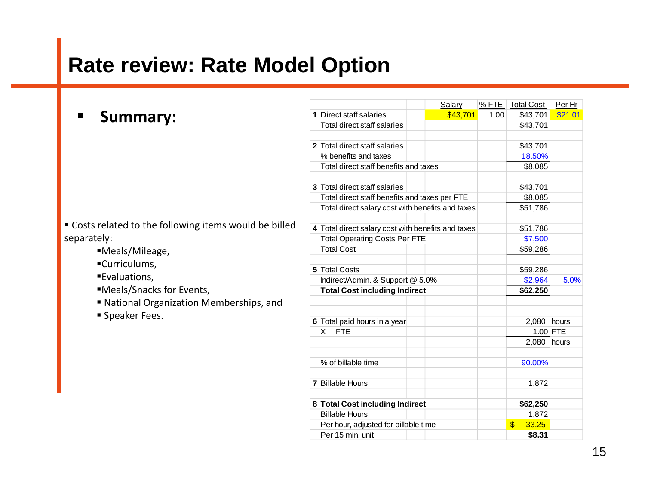|                                                        |  |                                                    |  | Salary   | % FTE | <b>Total Cost</b> | Per Hr     |
|--------------------------------------------------------|--|----------------------------------------------------|--|----------|-------|-------------------|------------|
| <b>Summary:</b>                                        |  | 1 Direct staff salaries                            |  | \$43,701 | 1.00  | \$43,701          | \$21.01    |
|                                                        |  | Total direct staff salaries                        |  |          |       | \$43,701          |            |
|                                                        |  |                                                    |  |          |       |                   |            |
|                                                        |  | 2 Total direct staff salaries                      |  |          |       | \$43,701          |            |
|                                                        |  | % benefits and taxes                               |  |          |       | 18.50%            |            |
|                                                        |  | Total direct staff benefits and taxes              |  |          |       | \$8,085           |            |
|                                                        |  |                                                    |  |          |       |                   |            |
|                                                        |  | 3 Total direct staff salaries                      |  |          |       | \$43,701          |            |
|                                                        |  | Total direct staff benefits and taxes per FTE      |  |          |       | \$8,085           |            |
|                                                        |  | Total direct salary cost with benefits and taxes   |  | \$51,786 |       |                   |            |
| " Costs related to the following items would be billed |  |                                                    |  |          |       |                   |            |
| separately:                                            |  | 4 Total direct salary cost with benefits and taxes |  | \$51,786 |       |                   |            |
|                                                        |  | <b>Total Operating Costs Per FTE</b>               |  |          |       | \$7,500           |            |
| ■Meals/Mileage,                                        |  | <b>Total Cost</b>                                  |  |          |       | \$59,286          |            |
| ■Curriculums,                                          |  |                                                    |  |          |       |                   |            |
| ■Evaluations,                                          |  | 5 Total Costs                                      |  |          |       | \$59,286          |            |
|                                                        |  | Indirect/Admin. & Support @ 5.0%                   |  |          |       | \$2,964           | 5.0%       |
| ■Meals/Snacks for Events,                              |  | <b>Total Cost including Indirect</b>               |  |          |       | \$62,250          |            |
| ■ National Organization Memberships, and               |  |                                                    |  |          |       |                   |            |
| Speaker Fees.                                          |  | 6 Total paid hours in a year                       |  |          |       | 2,080 hours       |            |
|                                                        |  | X FTE                                              |  |          |       |                   | $1.00$ FTE |
|                                                        |  |                                                    |  |          |       | $2,080$ hours     |            |
|                                                        |  |                                                    |  |          |       |                   |            |
|                                                        |  | % of billable time                                 |  |          |       | 90.00%            |            |
|                                                        |  | <b>7</b> Billable Hours                            |  |          |       | 1,872             |            |
|                                                        |  | 8 Total Cost including Indirect                    |  |          |       | \$62,250          |            |

Billable Hours 1,872 Per hour, adjusted for billable time Per 15 min. unit **\$8.31**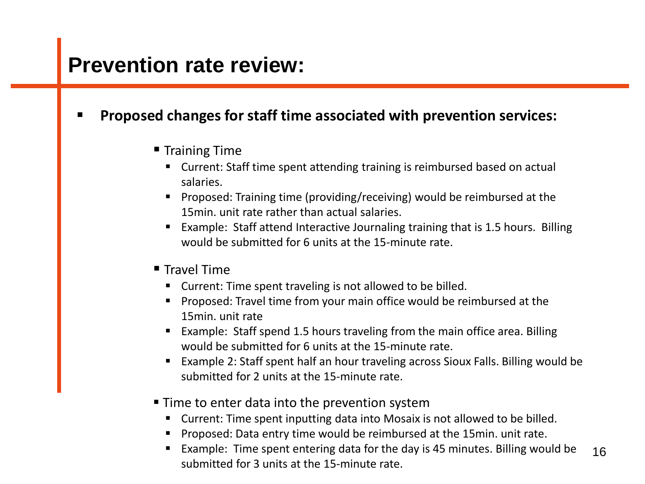#### ▪ **Proposed changes for staff time associated with prevention services:**

- Training Time
	- Current: Staff time spent attending training is reimbursed based on actual salaries.
	- Proposed: Training time (providing/receiving) would be reimbursed at the 15min. unit rate rather than actual salaries.
	- Example: Staff attend Interactive Journaling training that is 1.5 hours. Billing would be submitted for 6 units at the 15-minute rate.
- **Travel Time** 
	- Current: Time spent traveling is not allowed to be billed.
	- Proposed: Travel time from your main office would be reimbursed at the 15min. unit rate
	- Example: Staff spend 1.5 hours traveling from the main office area. Billing would be submitted for 6 units at the 15-minute rate.
	- Example 2: Staff spent half an hour traveling across Sioux Falls. Billing would be submitted for 2 units at the 15-minute rate.
- Time to enter data into the prevention system
	- Current: Time spent inputting data into Mosaix is not allowed to be billed.
	- Proposed: Data entry time would be reimbursed at the 15min. unit rate.
	- 16 ■ Example: Time spent entering data for the day is 45 minutes. Billing would be submitted for 3 units at the 15-minute rate.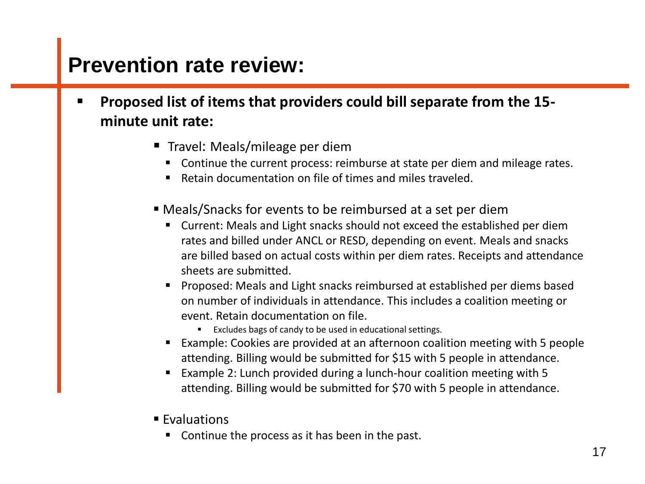- **Proposed list of items that providers could bill separate from the 15 minute unit rate:**
	- Travel: Meals/mileage per diem
		- Continue the current process: reimburse at state per diem and mileage rates.
		- Retain documentation on file of times and miles traveled.
	- Meals/Snacks for events to be reimbursed at a set per diem
		- Current: Meals and Light snacks should not exceed the established per diem rates and billed under ANCL or RESD, depending on event. Meals and snacks are billed based on actual costs within per diem rates. Receipts and attendance sheets are submitted.
		- Proposed: Meals and Light snacks reimbursed at established per diems based on number of individuals in attendance. This includes a coalition meeting or event. Retain documentation on file.
			- Excludes bags of candy to be used in educational settings.
		- Example: Cookies are provided at an afternoon coalition meeting with 5 people attending. Billing would be submitted for \$15 with 5 people in attendance.
		- Example 2: Lunch provided during a lunch-hour coalition meeting with 5 attending. Billing would be submitted for \$70 with 5 people in attendance.
	- Evaluations
		- Continue the process as it has been in the past.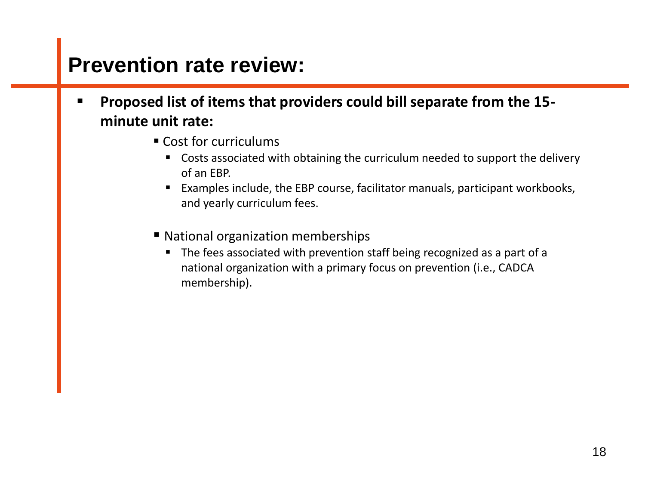- **Proposed list of items that providers could bill separate from the 15 minute unit rate:**
	- Cost for curriculums
		- Costs associated with obtaining the curriculum needed to support the delivery of an EBP.
		- Examples include, the EBP course, facilitator manuals, participant workbooks, and yearly curriculum fees.
	- National organization memberships
		- The fees associated with prevention staff being recognized as a part of a national organization with a primary focus on prevention (i.e., CADCA membership).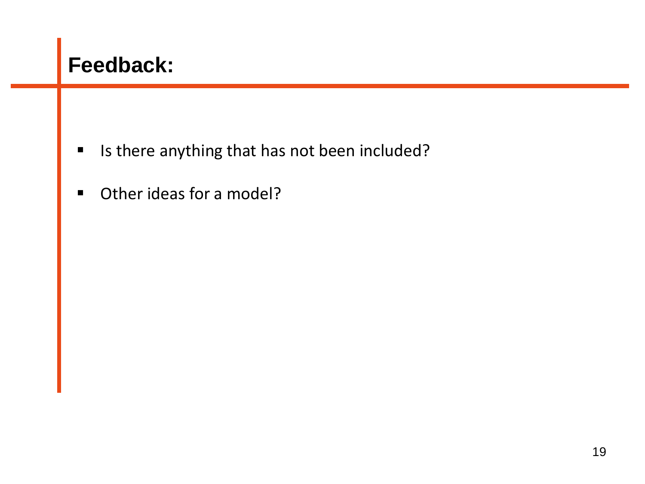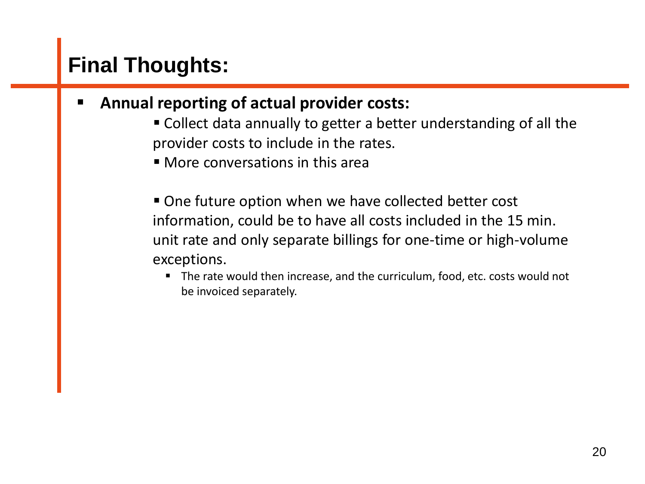## **Final Thoughts:**

- **Annual reporting of actual provider costs:** 
	- Collect data annually to getter a better understanding of all the provider costs to include in the rates.
	- More conversations in this area
	- One future option when we have collected better cost information, could be to have all costs included in the 15 min. unit rate and only separate billings for one-time or high-volume exceptions.
		- The rate would then increase, and the curriculum, food, etc. costs would not be invoiced separately.